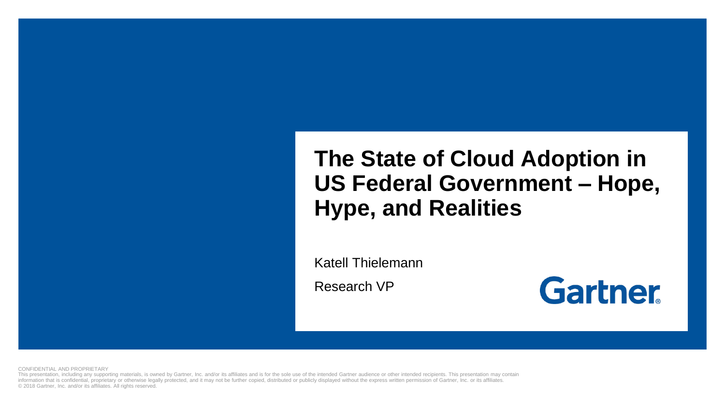#### **The State of Cloud Adoption in US Federal Government – Hope, Hype, and Realities**

Katell Thielemann

Research VP



CONFIDENTIAL AND PROPRIETARY

This presentation, including any supporting materials, is owned by Gartner, Inc. and/or its affiliates and is for the sole use of the intended Gartner audience or other intended recipients. This presentation may contain information that is confidential, proprietary or otherwise legally protected, and it may not be further copied, distributed or publicly displayed without the express written permission of Gartner, Inc. or its affiliates. © 2018 Gartner, Inc. and/or its affiliates. All rights reserved.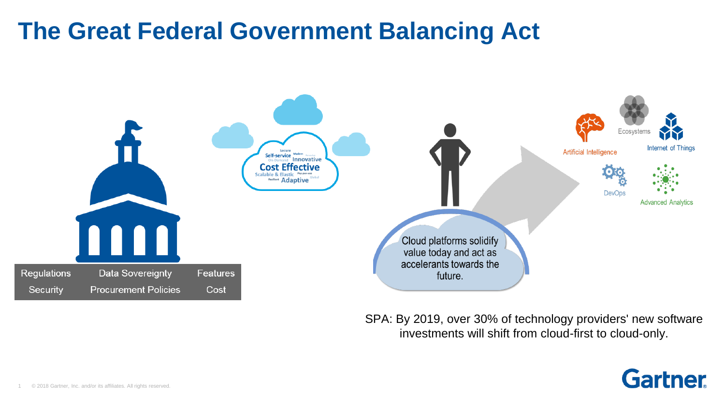#### **The Great Federal Government Balancing Act**



SPA: By 2019, over 30% of technology providers' new software investments will shift from cloud-first to cloud-only.

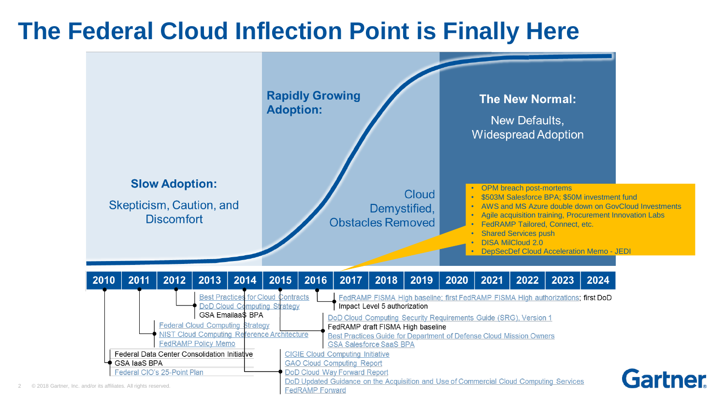#### **The Federal Cloud Inflection Point is Finally Here**

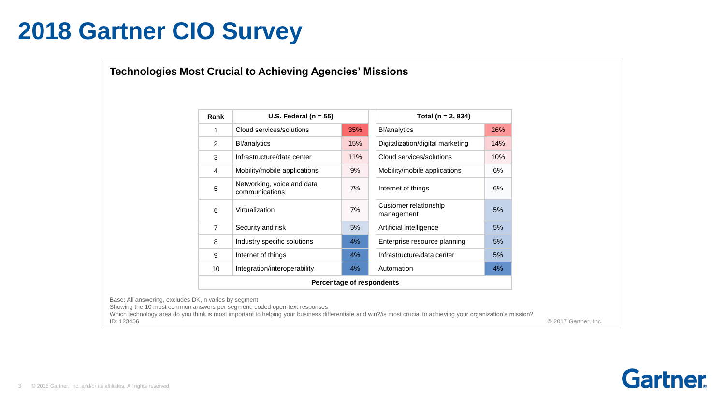#### **2018 Gartner CIO Survey**

#### **Technologies Most Crucial to Achieving Agencies' Missions**

| Rank           | U.S. Federal ( $n = 55$ )                    |     | Total ( $n = 2, 834$ )                    |
|----------------|----------------------------------------------|-----|-------------------------------------------|
| 1              | Cloud services/solutions                     | 35% | 26%<br><b>BI/analytics</b>                |
| 2              | <b>BI/analytics</b>                          | 15% | Digitalization/digital marketing<br>14%   |
| 3              | Infrastructure/data center                   | 11% | Cloud services/solutions<br>10%           |
| 4              | Mobility/mobile applications                 | 9%  | 6%<br>Mobility/mobile applications        |
| 5              | Networking, voice and data<br>communications | 7%  | 6%<br>Internet of things                  |
| 6              | Virtualization                               | 7%  | Customer relationship<br>5%<br>management |
| $\overline{7}$ | Security and risk                            | 5%  | 5%<br>Artificial intelligence             |
| 8              | Industry specific solutions                  | 4%  | 5%<br>Enterprise resource planning        |
| 9              | Internet of things                           | 4%  | Infrastructure/data center<br>5%          |
| 10             | Integration/interoperability                 | 4%  | Automation<br>4%                          |
|                | Percentage of respondents                    |     |                                           |

Base: All answering, excludes DK, n varies by segment

Showing the 10 most common answers per segment, coded open-text responses

Which technology area do you think is most important to helping your business differentiate and win?/is most crucial to achieving your organization's mission? ID: 123456

© 2017 Gartner, Inc.

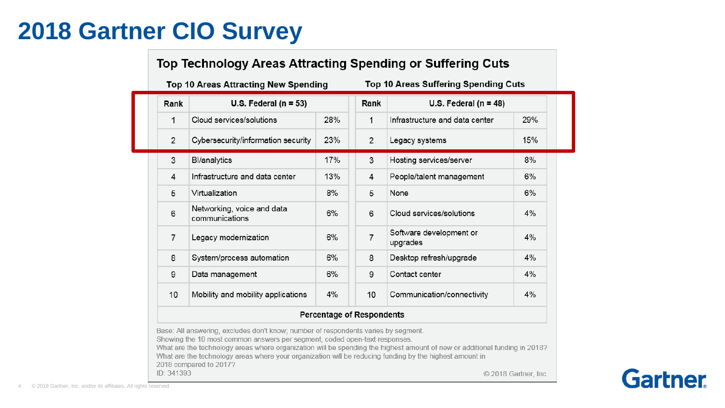#### **2018 Gartner CIO Survey**

#### Top Technology Areas Attracting Spending or Suffering Cuts

Top 10 Areas Attracting New Spending

Top 10 Areas Suffering Spending Cuts

| Rank           | U.S. Federal ( $n = 53$ )                    |                                  | Rank           | U.S. Federal ( $n = 48$ )           |     |  |
|----------------|----------------------------------------------|----------------------------------|----------------|-------------------------------------|-----|--|
| 1              | Cloud services/solutions                     | 28%                              | 1              | Infrastructure and data center      | 29% |  |
| $\overline{2}$ | Cybersecurity/information security           | 23%                              | $\overline{2}$ | Legacy systems                      | 15% |  |
| 3              | Bl/analytics                                 | 17%                              | 3              | Hosting services/server             | 8%  |  |
| 4              | Infrastructure and data center               | 13%                              | 4              | People/talent management            | 6%  |  |
| 5              | Virtualization                               | 8%                               | 5              | None                                | 6%  |  |
| 6              | Networking, voice and data<br>communications | 6%                               | 6              | Cloud services/solutions            | 4%  |  |
| $\overline{7}$ | Legacy modernization                         | 6%                               | $\overline{7}$ | Software development or<br>upgrades | 4%  |  |
| 8              | System/process automation                    | 6%                               | 8              | Desktop refresh/upgrade             | 4%  |  |
| 9              | Data management                              | 6%                               | 9              | Contact center                      | 4%  |  |
| 10             | Mobility and mobility applications           | 4%                               | 10             | Communication/connectivity          | 4%  |  |
|                |                                              | <b>Percentage of Respondents</b> |                |                                     |     |  |

What are the technology areas where your organization will be reducing funding by the highest amount in

2018 compared to 2017? ID: 341393

© 2018 Gartner, Inc.

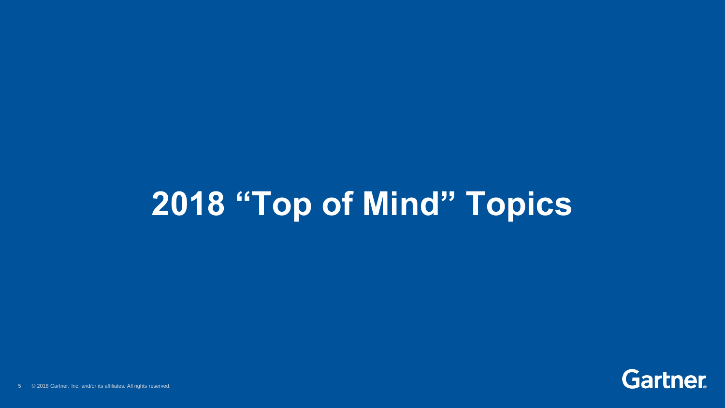# **2018 "Top of Mind" Topics**

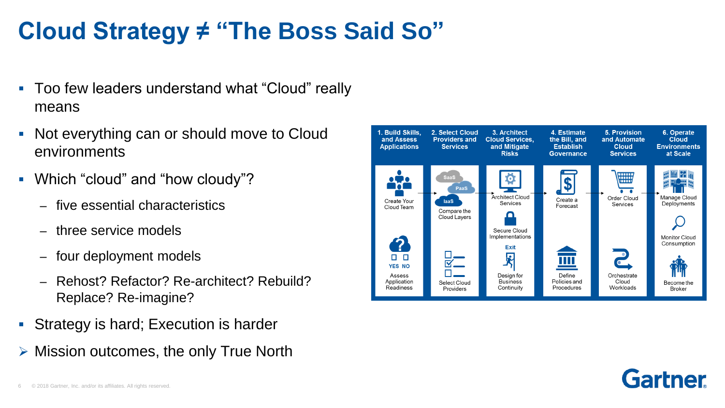# **Cloud Strategy ≠ "The Boss Said So"**

- Too few leaders understand what "Cloud" really means
- Not everything can or should move to Cloud environments
- Which "cloud" and "how cloudy"?
	- five essential characteristics
	- three service models
	- four deployment models
	- Rehost? Refactor? Re-architect? Rebuild? Replace? Re-imagine?
- Strategy is hard; Execution is harder
- $\triangleright$  Mission outcomes, the only True North



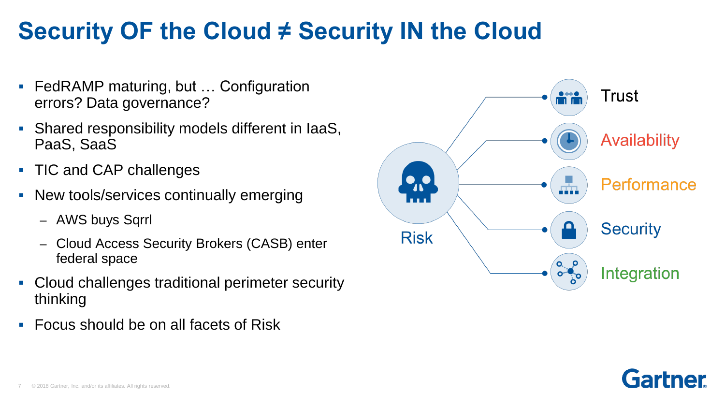## **Security OF the Cloud ≠ Security IN the Cloud**

- FedRAMP maturing, but ... Configuration errors? Data governance?
- Shared responsibility models different in IaaS, PaaS, SaaS
- TIC and CAP challenges
- New tools/services continually emerging
	- AWS buys Sqrrl
	- Cloud Access Security Brokers (CASB) enter federal space
- Cloud challenges traditional perimeter security thinking
- Focus should be on all facets of Risk



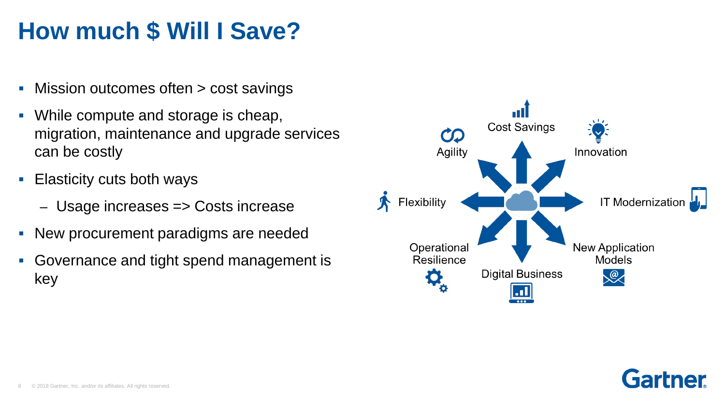## **How much \$ Will I Save?**

- Mission outcomes often > cost savings
- While compute and storage is cheap, migration, maintenance and upgrade services can be costly
- Elasticity cuts both ways
	- Usage increases => Costs increase
- New procurement paradigms are needed
- **Governance and tight spend management is** key



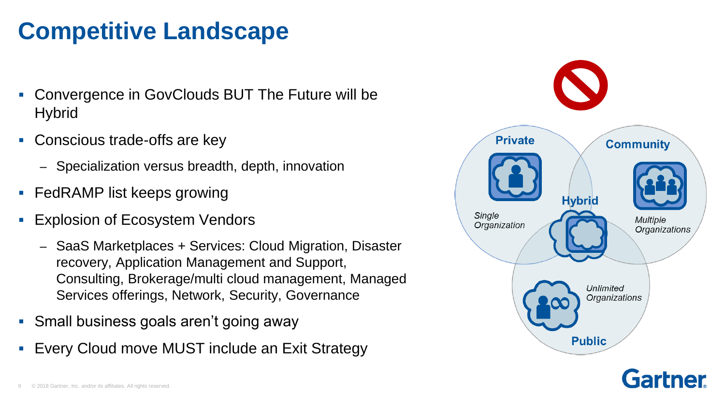# **Competitive Landscape**

- Convergence in GovClouds BUT The Future will be **Hybrid**
- Conscious trade-offs are key
	- Specialization versus breadth, depth, innovation
- FedRAMP list keeps growing
- Explosion of Ecosystem Vendors
	- SaaS Marketplaces + Services: Cloud Migration, Disaster recovery, Application Management and Support, Consulting, Brokerage/multi cloud management, Managed Services offerings, Network, Security, Governance
- Small business goals aren't going away
- Every Cloud move MUST include an Exit Strategy



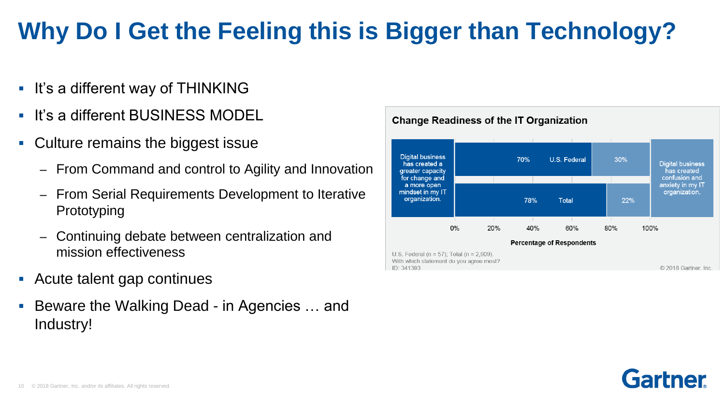# **Why Do I Get the Feeling this is Bigger than Technology?**

- It's a different way of THINKING
- It's a different BUSINESS MODEL
- Culture remains the biggest issue
	- From Command and control to Agility and Innovation
	- From Serial Requirements Development to Iterative Prototyping
	- Continuing debate between centralization and mission effectiveness
- Acute talent gap continues
- Beware the Walking Dead in Agencies … and Industry!



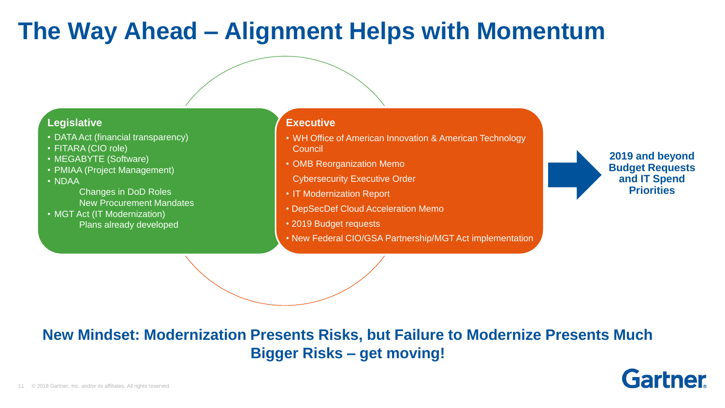#### **The Way Ahead – Alignment Helps with Momentum**

#### **Legislative**

- DATA Act (financial transparency)
- FITARA (CIO role)
- MEGABYTE (Software)
- PMIAA (Project Management)
- NDAA

Changes in DoD Roles New Procurement Mandates

• MGT Act (IT Modernization) Plans already developed

#### **Executive**

- WH Office of American Innovation & American Technology **Council**
- OMB Reorganization Memo
- Cybersecurity Executive Order
- IT Modernization Report
- DepSecDef Cloud Acceleration Memo
- 2019 Budget requests
- New Federal CIO/GSA Partnership/MGT Act implementation

**2019 and beyond Budget Requests and IT Spend Priorities**

#### **New Mindset: Modernization Presents Risks, but Failure to Modernize Presents Much Bigger Risks – get moving!**